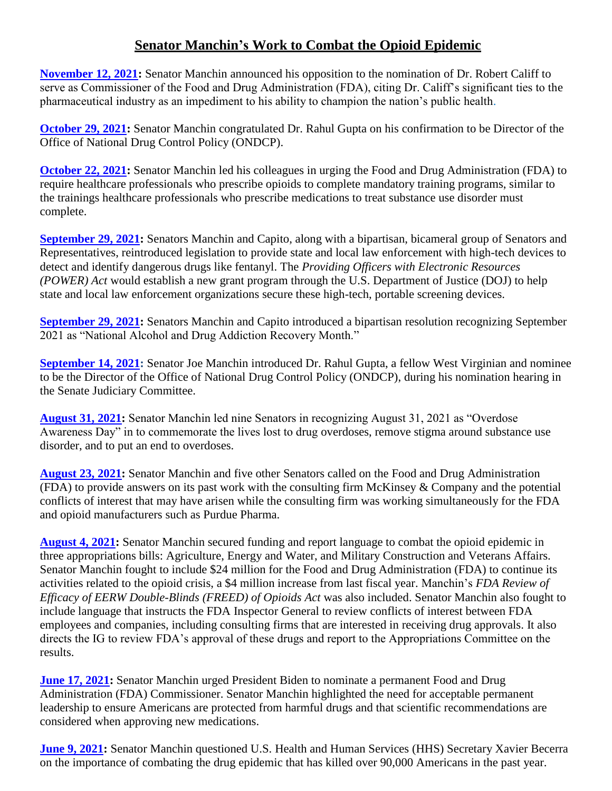## **Senator Manchin's Work to Combat the Opioid Epidemic**

**[November 12, 2021:](https://www.manchin.senate.gov/newsroom/press-releases/manchin-opposes-nomination-of-dr-robert-califf-for-fda-commissioner)** Senator Manchin announced his opposition to the nomination of Dr. Robert Califf to serve as Commissioner of the Food and Drug Administration (FDA), citing Dr. Califf's significant ties to the pharmaceutical industry as an impediment to his ability to champion the nation's public health.

**[October 29, 2021:](https://www.manchin.senate.gov/newsroom/press-releases/manchin-statement-on-confirmation-of-dr-gupta-to-lead-office-of-national-drug-control-policy)** Senator Manchin congratulated Dr. Rahul Gupta on his confirmation to be Director of the Office of National Drug Control Policy (ONDCP).

**[October 22, 2021:](https://www.manchin.senate.gov/newsroom/press-releases/manchin-urges-fda-to-require-training-for-healthcare-professionals-prescribing-opioids-to-combat-drug-epidemic-that-killed-more-than-94k-americans-last-year)** Senator Manchin led his colleagues in urging the Food and Drug Administration (FDA) to require healthcare professionals who prescribe opioids to complete mandatory training programs, similar to the trainings healthcare professionals who prescribe medications to treat substance use disorder must complete.

**[September 29, 2021:](https://www.manchin.senate.gov/newsroom/press-releases/manchin-capito-reintroduce-bipartisan-bill-to-help-law-enforcement-investigate-fentanyl-protect-officers)** Senators Manchin and Capito, along with a bipartisan, bicameral group of Senators and Representatives, reintroduced legislation to provide state and local law enforcement with high-tech devices to detect and identify dangerous drugs like fentanyl. The *Providing Officers with Electronic Resources (POWER) Act* would establish a new grant program through the U.S. Department of Justice (DOJ) to help state and local law enforcement organizations secure these high-tech, portable screening devices.

**[September 29, 2021:](https://www.manchin.senate.gov/newsroom/press-releases/with-overdoses-rising-amidst-pandemic-manchin-capito-introduce-resolution-designating-september-as-national-recovery-month)** Senators Manchin and Capito introduced a bipartisan resolution recognizing September 2021 as "National Alcohol and Drug Addiction Recovery Month."

**[September 14, 2021:](https://www.manchin.senate.gov/newsroom/press-releases/manchin-introduces-fellow-west-virginian-ondcp-nominee-dr-gupta-in-senate-judiciary-committee)** Senator Joe Manchin introduced Dr. Rahul Gupta, a fellow West Virginian and nominee to be the Director of the Office of National Drug Control Policy (ONDCP), during his nomination hearing in the Senate Judiciary Committee.

**[August 31, 2021:](https://www.manchin.senate.gov/newsroom/press-releases/manchin-leads-resolution-designating-august-31st-as-overdose-awareness-day)** Senator Manchin led nine Senators in recognizing August 31, 2021 as "Overdose Awareness Day" in to commemorate the lives lost to drug overdoses, remove stigma around substance use disorder, and to put an end to overdoses.

**[August 23, 2021:](https://www.manchin.senate.gov/newsroom/press-releases/manchin-calls-on-fda-to-provide-answers-on-potential-conflicts-of-interest-with-consulting-firm-mckinsey-in-relation-to-opioid-crisis)** Senator Manchin and five other Senators called on the Food and Drug Administration (FDA) to provide answers on its past work with the consulting firm McKinsey & Company and the potential conflicts of interest that may have arisen while the consulting firm was working simultaneously for the FDA and opioid manufacturers such as Purdue Pharma.

**[August 4, 2021:](https://www.manchin.senate.gov/newsroom/press-releases/manchin-secures-west-virginia-priorities-in-appropriations-bills)** Senator Manchin secured funding and report language to combat the opioid epidemic in three appropriations bills: Agriculture, Energy and Water, and Military Construction and Veterans Affairs. Senator Manchin fought to include \$24 million for the Food and Drug Administration (FDA) to continue its activities related to the opioid crisis, a \$4 million increase from last fiscal year. Manchin's *FDA Review of Efficacy of EERW Double-Blinds (FREED) of Opioids Act* was also included. Senator Manchin also fought to include language that instructs the FDA Inspector General to review conflicts of interest between FDA employees and companies, including consulting firms that are interested in receiving drug approvals. It also directs the IG to review FDA's approval of these drugs and report to the Appropriations Committee on the results.

**[June 17, 2021:](https://www.manchin.senate.gov/newsroom/press-releases/manchin-to-biden-nominate-an-fda-commissioner-suited-to-address-our-public-health-challenges-immediately)** Senator Manchin urged President Biden to nominate a permanent Food and Drug Administration (FDA) Commissioner. Senator Manchin highlighted the need for acceptable permanent leadership to ensure Americans are protected from harmful drugs and that scientific recommendations are considered when approving new medications.

**[June 9, 2021:](https://www.manchin.senate.gov/newsroom/press-releases/manchin-questions-hhs-secretary-becerra-on-us-manufacturing-drug-epidemic-and-affordable-medicines-for-west-virginians)** Senator Manchin questioned U.S. Health and Human Services (HHS) Secretary Xavier Becerra on the importance of combating the drug epidemic that has killed over 90,000 Americans in the past year.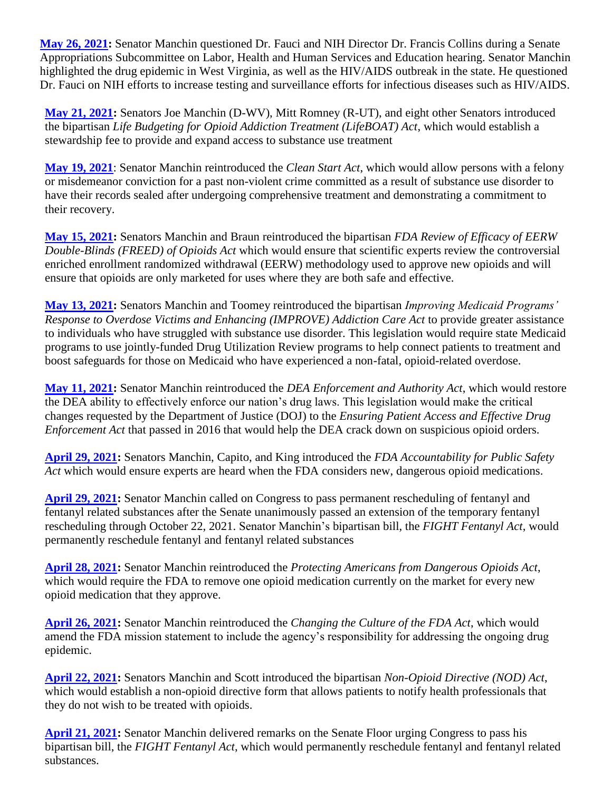**[May 26, 2021:](https://www.manchin.senate.gov/newsroom/press-releases/manchin-questions-dr-fauci-and-nih-director-on-west-virginia-related-health-issues)** Senator Manchin questioned Dr. Fauci and NIH Director Dr. Francis Collins during a Senate Appropriations Subcommittee on Labor, Health and Human Services and Education hearing. Senator Manchin highlighted the drug epidemic in West Virginia, as well as the HIV/AIDS outbreak in the state. He questioned Dr. Fauci on NIH efforts to increase testing and surveillance efforts for infectious diseases such as HIV/AIDS.

**[May 21, 2021:](https://www.manchin.senate.gov/newsroom/press-releases/manchin-romney-introduce-bipartisan-lifeboat-act-to-establish-stewardship-fee-to-support-substance-use-treatment)** Senators Joe Manchin (D-WV), Mitt Romney (R-UT), and eight other Senators introduced the bipartisan *Life Budgeting for Opioid Addiction Treatment (LifeBOAT) Act*, which would establish a stewardship fee to provide and expand access to substance use treatment

**[May 19, 2021](https://www.manchin.senate.gov/newsroom/press-releases/manchin-bill-to-give-west-virginians-a-clean-start-to-rejoin-workforce)**: Senator Manchin reintroduced the *Clean Start Act*, which would allow persons with a felony or misdemeanor conviction for a past non-violent crime committed as a result of substance use disorder to have their records sealed after undergoing comprehensive treatment and demonstrating a commitment to their recovery.

**[May 15, 2021:](https://www.manchin.senate.gov/newsroom/press-releases/manchin-braun-bill-to-address-incorrect-marketing-of-dangerous-opioids)** Senators Manchin and Braun reintroduced the bipartisan *FDA Review of Efficacy of EERW Double-Blinds (FREED) of Opioids Act* which would ensure that scientific experts review the controversial enriched enrollment randomized withdrawal (EERW) methodology used to approve new opioids and will ensure that opioids are only marketed for uses where they are both safe and effective.

**[May 13, 2021:](https://www.manchin.senate.gov/newsroom/press-releases/manchin-bill-to-prevent-fatal-overdoses-support-opioid-victims)** Senators Manchin and Toomey reintroduced the bipartisan *Improving Medicaid Programs' Response to Overdose Victims and Enhancing (IMPROVE) Addiction Care Act* to provide greater assistance to individuals who have struggled with substance use disorder. This legislation would require state Medicaid programs to use jointly-funded Drug Utilization Review programs to help connect patients to treatment and boost safeguards for those on Medicaid who have experienced a non-fatal, opioid-related overdose.

**[May 11, 2021:](https://www.manchin.senate.gov/newsroom/press-releases/manchin-bill-to-restore-dea-ability-to-crack-down-on-dangerous-opioids)** Senator Manchin reintroduced the *DEA Enforcement and Authority Act*, which would restore the DEA ability to effectively enforce our nation's drug laws. This legislation would make the critical changes requested by the Department of Justice (DOJ) to the *Ensuring Patient Access and Effective Drug Enforcement Act* that passed in 2016 that would help the DEA crack down on suspicious opioid orders.

**[April 29, 2021:](https://www.manchin.senate.gov/newsroom/press-releases/manchin-capito-king-bill-to-prioritize-public-safety-when-fda-approves-new-opioids)** Senators Manchin, Capito, and King introduced the *FDA Accountability for Public Safety Act* which would ensure experts are heard when the FDA considers new, dangerous opioid medications.

**[April 29, 2021:](https://www.manchin.senate.gov/newsroom/press-releases/manchin-calls-for-permanent-fentanyl-rescheduling-after-senate-passes-extension)** Senator Manchin called on Congress to pass permanent rescheduling of fentanyl and fentanyl related substances after the Senate unanimously passed an extension of the temporary fentanyl rescheduling through October 22, 2021. Senator Manchin's bipartisan bill, the *FIGHT Fentanyl Act*, would permanently reschedule fentanyl and fentanyl related substances

**[April 28, 2021:](https://www.manchin.senate.gov/newsroom/press-releases/manchin-reintroduces-bill-to-protect-americans-from-dangerous-opioids)** Senator Manchin reintroduced the *Protecting Americans from Dangerous Opioids Act*, which would require the FDA to remove one opioid medication currently on the market for every new opioid medication that they approve.

**[April 26, 2021:](https://www.manchin.senate.gov/newsroom/press-releases/manchin-bill-to-change-fda-culture-address-role-in-drug-epidemic)** Senator Manchin reintroduced the *Changing the Culture of the FDA Act*, which would amend the FDA mission statement to include the agency's responsibility for addressing the ongoing drug epidemic.

**[April 22, 2021:](https://www.manchin.senate.gov/newsroom/press-releases/manchin-scott-bill-to-allow-for-patients-to-decide-if-they-are-treated-with-opiods)** Senators Manchin and Scott introduced the bipartisan *Non-Opioid Directive (NOD) Act*, which would establish a non-opioid directive form that allows patients to notify health professionals that they do not wish to be treated with opioids.

**[April 21, 2021:](https://www.manchin.senate.gov/newsroom/press-releases/manchin-permanently-reschedule-fentanyl-now-to-save-american-lives)** Senator Manchin delivered remarks on the Senate Floor urging Congress to pass his bipartisan bill, the *FIGHT Fentanyl Act*, which would permanently reschedule fentanyl and fentanyl related substances.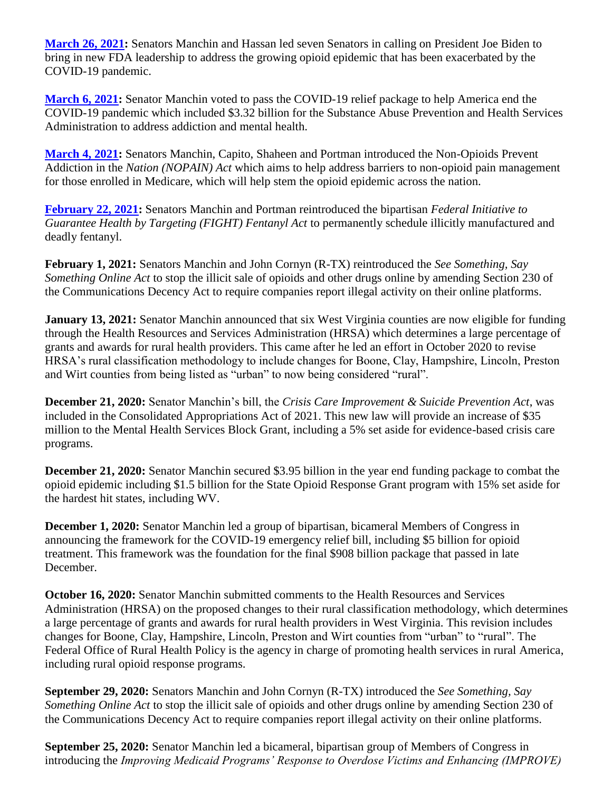**[March 26, 2021:](https://www.manchin.senate.gov/newsroom/press-releases/manchin-hassan-new-fda-leadership-must-do-more-to-address-opioid-epidemic)** Senators Manchin and Hassan led seven Senators in calling on President Joe Biden to bring in new FDA leadership to address the growing opioid epidemic that has been exacerbated by the COVID-19 pandemic.

**[March 6, 2021:](https://www.manchin.senate.gov/newsroom/press-releases/manchin-votes-for-covid-19-relief-package)** Senator Manchin voted to pass the COVID-19 relief package to help America end the COVID-19 pandemic which included \$3.32 billion for the Substance Abuse Prevention and Health Services Administration to address addiction and mental health.

**[March 4, 2021:](https://www.manchin.senate.gov/newsroom/press-releases/manchin-capito-shaheen-portman-introduce-legislation-to-help-stem-opioid-epidemic)** Senators Manchin, Capito, Shaheen and Portman introduced the Non-Opioids Prevent Addiction in the *Nation (NOPAIN) Act* which aims to help address barriers to non-opioid pain management for those enrolled in Medicare, which will help stem the opioid epidemic across the nation.

**[February 22, 2021:](https://www.manchin.senate.gov/newsroom/press-releases/manchin-portman-reintroduce-bipartisan-fight-fentanyl-act-to-permanently-schedule-fentanyl-related-substances)** Senators Manchin and Portman reintroduced the bipartisan *Federal Initiative to Guarantee Health by Targeting (FIGHT) Fentanyl Act* to permanently schedule illicitly manufactured and deadly fentanyl.

**February 1, 2021:** Senators Manchin and John Cornyn (R-TX) reintroduced the *See Something, Say Something Online Act* to stop the illicit sale of opioids and other drugs online by amending Section 230 of the Communications Decency Act to require companies report illegal activity on their online platforms.

**January 13, 2021:** Senator Manchin announced that six West Virginia counties are now eligible for funding through the Health Resources and Services Administration (HRSA) which determines a large percentage of grants and awards for rural health providers. This came after he led an effort in October 2020 to revise HRSA's rural classification methodology to include changes for Boone, Clay, Hampshire, Lincoln, Preston and Wirt counties from being listed as "urban" to now being considered "rural".

**December 21, 2020:** Senator Manchin's bill, the *Crisis Care Improvement & Suicide Prevention Act*, was included in the Consolidated Appropriations Act of 2021. This new law will provide an increase of \$35 million to the Mental Health Services Block Grant, including a 5% set aside for evidence-based crisis care programs.

**December 21, 2020:** Senator Manchin secured \$3.95 billion in the year end funding package to combat the opioid epidemic including \$1.5 billion for the State Opioid Response Grant program with 15% set aside for the hardest hit states, including WV.

**December 1, 2020:** Senator Manchin led a group of bipartisan, bicameral Members of Congress in announcing the framework for the COVID-19 emergency relief bill, including \$5 billion for opioid treatment. This framework was the foundation for the final \$908 billion package that passed in late December.

**October 16, 2020:** Senator Manchin submitted comments to the Health Resources and Services Administration (HRSA) on the proposed changes to their rural classification methodology, which determines a large percentage of grants and awards for rural health providers in West Virginia. This revision includes changes for Boone, Clay, Hampshire, Lincoln, Preston and Wirt counties from "urban" to "rural". The Federal Office of Rural Health Policy is the agency in charge of promoting health services in rural America, including rural opioid response programs.

**September 29, 2020:** Senators Manchin and John Cornyn (R-TX) introduced the *See Something, Say Something Online Act* to stop the illicit sale of opioids and other drugs online by amending Section 230 of the Communications Decency Act to require companies report illegal activity on their online platforms.

**September 25, 2020:** Senator Manchin led a bicameral, bipartisan group of Members of Congress in introducing the *Improving Medicaid Programs' Response to Overdose Victims and Enhancing (IMPROVE)*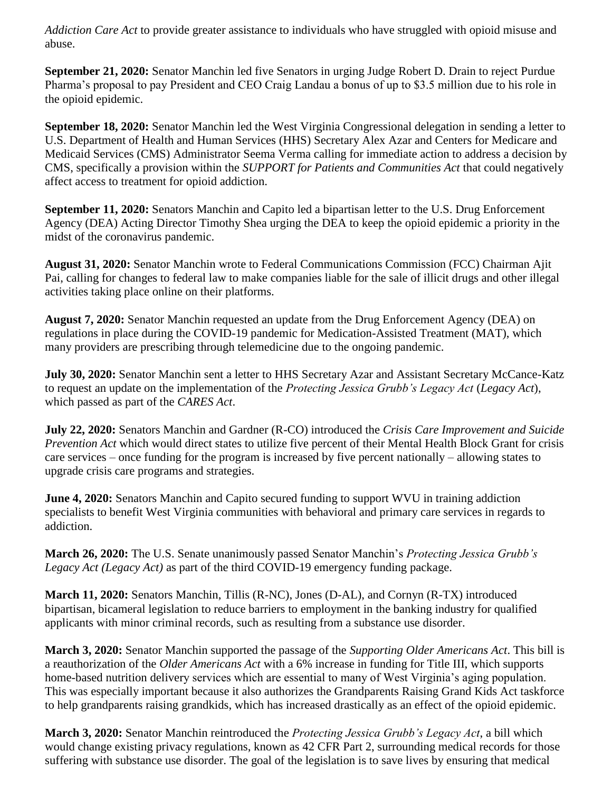*Addiction Care Act* to provide greater assistance to individuals who have struggled with opioid misuse and abuse.

**September 21, 2020:** Senator Manchin led five Senators in urging Judge Robert D. Drain to reject Purdue Pharma's proposal to pay President and CEO Craig Landau a bonus of up to \$3.5 million due to his role in the opioid epidemic.

**September 18, 2020:** Senator Manchin led the West Virginia Congressional delegation in sending a letter to U.S. Department of Health and Human Services (HHS) Secretary Alex Azar and Centers for Medicare and Medicaid Services (CMS) Administrator Seema Verma calling for immediate action to address a decision by CMS, specifically a provision within the *SUPPORT for Patients and Communities Act* that could negatively affect access to treatment for opioid addiction.

**September 11, 2020:** Senators Manchin and Capito led a bipartisan letter to the U.S. Drug Enforcement Agency (DEA) Acting Director Timothy Shea urging the DEA to keep the opioid epidemic a priority in the midst of the coronavirus pandemic.

**August 31, 2020:** Senator Manchin wrote to Federal Communications Commission (FCC) Chairman Ajit Pai, calling for changes to federal law to make companies liable for the sale of illicit drugs and other illegal activities taking place online on their platforms.

**August 7, 2020:** Senator Manchin requested an update from the Drug Enforcement Agency (DEA) on regulations in place during the COVID-19 pandemic for Medication-Assisted Treatment (MAT), which many providers are prescribing through telemedicine due to the ongoing pandemic.

**July 30, 2020:** Senator Manchin sent a letter to HHS Secretary Azar and Assistant Secretary McCance-Katz to request an update on the implementation of the *Protecting Jessica Grubb's Legacy Act* (*Legacy Act*), which passed as part of the *CARES Act*.

**July 22, 2020:** Senators Manchin and Gardner (R-CO) introduced the *Crisis Care Improvement and Suicide Prevention Act* which would direct states to utilize five percent of their Mental Health Block Grant for crisis care services – once funding for the program is increased by five percent nationally – allowing states to upgrade crisis care programs and strategies.

**June 4, 2020:** Senators Manchin and Capito secured funding to support WVU in training addiction specialists to benefit West Virginia communities with behavioral and primary care services in regards to addiction.

**March 26, 2020:** The U.S. Senate unanimously passed Senator Manchin's *Protecting Jessica Grubb's Legacy Act (Legacy Act)* as part of the third COVID-19 emergency funding package.

**March 11, 2020:** Senators Manchin, Tillis (R-NC), Jones (D-AL), and Cornyn (R-TX) introduced bipartisan, bicameral legislation to reduce barriers to employment in the banking industry for qualified applicants with minor criminal records, such as resulting from a substance use disorder.

**March 3, 2020:** Senator Manchin supported the passage of the *Supporting Older Americans Act*. This bill is a reauthorization of the *Older Americans Act* with a 6% increase in funding for Title III, which supports home-based nutrition delivery services which are essential to many of West Virginia's aging population. This was especially important because it also authorizes the Grandparents Raising Grand Kids Act taskforce to help grandparents raising grandkids, which has increased drastically as an effect of the opioid epidemic.

**March 3, 2020:** Senator Manchin reintroduced the *Protecting Jessica Grubb's Legacy Act*, a bill which would change existing privacy regulations, known as 42 CFR Part 2, surrounding medical records for those suffering with substance use disorder. The goal of the legislation is to save lives by ensuring that medical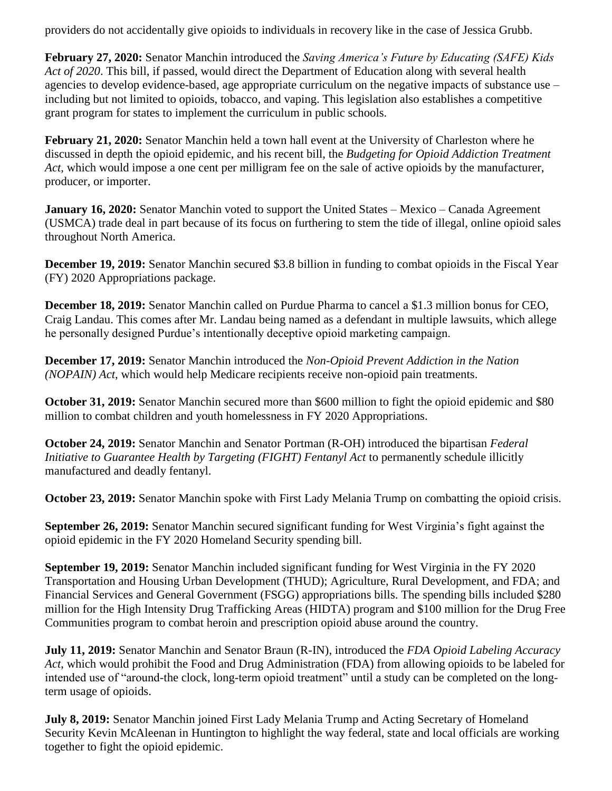providers do not accidentally give opioids to individuals in recovery like in the case of Jessica Grubb.

**February 27, 2020:** Senator Manchin introduced the *Saving America's Future by Educating (SAFE) Kids Act of 2020*. This bill, if passed, would direct the Department of Education along with several health agencies to develop evidence-based, age appropriate curriculum on the negative impacts of substance use – including but not limited to opioids, tobacco, and vaping. This legislation also establishes a competitive grant program for states to implement the curriculum in public schools.

**February 21, 2020:** Senator Manchin held a town hall event at the University of Charleston where he discussed in depth the opioid epidemic, and his recent bill, the *Budgeting for Opioid Addiction Treatment Act*, which would impose a one cent per milligram fee on the sale of active opioids by the manufacturer, producer, or importer.

**January 16, 2020:** Senator Manchin voted to support the United States – Mexico – Canada Agreement (USMCA) trade deal in part because of its focus on furthering to stem the tide of illegal, online opioid sales throughout North America.

**December 19, 2019:** Senator Manchin secured \$3.8 billion in funding to combat opioids in the Fiscal Year (FY) 2020 Appropriations package.

**December 18, 2019:** Senator Manchin called on Purdue Pharma to cancel a \$1.3 million bonus for CEO, Craig Landau. This comes after Mr. Landau being named as a defendant in multiple lawsuits, which allege he personally designed Purdue's intentionally deceptive opioid marketing campaign.

**December 17, 2019:** Senator Manchin introduced the *Non-Opioid Prevent Addiction in the Nation (NOPAIN) Act*, which would help Medicare recipients receive non-opioid pain treatments.

**October 31, 2019:** Senator Manchin secured more than \$600 million to fight the opioid epidemic and \$80 million to combat children and youth homelessness in FY 2020 Appropriations.

**October 24, 2019:** Senator Manchin and Senator Portman (R-OH) introduced the bipartisan *Federal Initiative to Guarantee Health by Targeting (FIGHT) Fentanyl Act* to permanently schedule illicitly manufactured and deadly fentanyl.

**October 23, 2019:** Senator Manchin spoke with First Lady Melania Trump on combatting the opioid crisis.

**September 26, 2019:** Senator Manchin secured significant funding for West Virginia's fight against the opioid epidemic in the FY 2020 Homeland Security spending bill.

**September 19, 2019:** Senator Manchin included significant funding for West Virginia in the FY 2020 Transportation and Housing Urban Development (THUD); Agriculture, Rural Development, and FDA; and Financial Services and General Government (FSGG) appropriations bills. The spending bills included \$280 million for the High Intensity Drug Trafficking Areas (HIDTA) program and \$100 million for the Drug Free Communities program to combat heroin and prescription opioid abuse around the country.

**July 11, 2019:** Senator Manchin and Senator Braun (R-IN), introduced the *FDA Opioid Labeling Accuracy Act*, which would prohibit the Food and Drug Administration (FDA) from allowing opioids to be labeled for intended use of "around-the clock, long-term opioid treatment" until a study can be completed on the longterm usage of opioids.

**July 8, 2019:** Senator Manchin joined First Lady Melania Trump and Acting Secretary of Homeland Security Kevin McAleenan in Huntington to highlight the way federal, state and local officials are working together to fight the opioid epidemic.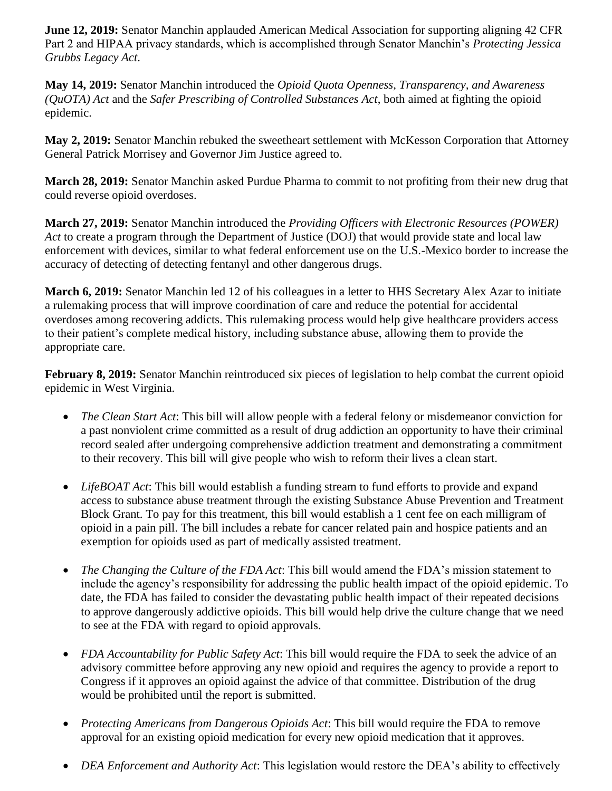**June 12, 2019:** Senator Manchin applauded American Medical Association for supporting aligning 42 CFR Part 2 and HIPAA privacy standards, which is accomplished through Senator Manchin's *Protecting Jessica Grubbs Legacy Act*.

**May 14, 2019:** Senator Manchin introduced the *Opioid Quota Openness, Transparency, and Awareness (QuOTA) Act* and the *Safer Prescribing of Controlled Substances Act*, both aimed at fighting the opioid epidemic.

**May 2, 2019:** Senator Manchin rebuked the sweetheart settlement with McKesson Corporation that Attorney General Patrick Morrisey and Governor Jim Justice agreed to.

**March 28, 2019:** Senator Manchin asked Purdue Pharma to commit to not profiting from their new drug that could reverse opioid overdoses.

**March 27, 2019:** Senator Manchin introduced the *Providing Officers with Electronic Resources (POWER) Act* to create a program through the Department of Justice (DOJ) that would provide state and local law enforcement with devices, similar to what federal enforcement use on the U.S.-Mexico border to increase the accuracy of detecting of detecting fentanyl and other dangerous drugs.

**March 6, 2019:** Senator Manchin led 12 of his colleagues in a letter to HHS Secretary Alex Azar to initiate a rulemaking process that will improve coordination of care and reduce the potential for accidental overdoses among recovering addicts. This rulemaking process would help give healthcare providers access to their patient's complete medical history, including substance abuse, allowing them to provide the appropriate care.

**February 8, 2019:** Senator Manchin reintroduced six pieces of legislation to help combat the current opioid epidemic in West Virginia.

- *The Clean Start Act*: This bill will allow people with a federal felony or misdemeanor conviction for a past nonviolent crime committed as a result of drug addiction an opportunity to have their criminal record sealed after undergoing comprehensive addiction treatment and demonstrating a commitment to their recovery. This bill will give people who wish to reform their lives a clean start.
- LifeBOAT Act: This bill would establish a funding stream to fund efforts to provide and expand access to substance abuse treatment through the existing Substance Abuse Prevention and Treatment Block Grant. To pay for this treatment, this bill would establish a 1 cent fee on each milligram of opioid in a pain pill. The bill includes a rebate for cancer related pain and hospice patients and an exemption for opioids used as part of medically assisted treatment.
- *The Changing the Culture of the FDA Act*: This bill would amend the FDA's mission statement to include the agency's responsibility for addressing the public health impact of the opioid epidemic. To date, the FDA has failed to consider the devastating public health impact of their repeated decisions to approve dangerously addictive opioids. This bill would help drive the culture change that we need to see at the FDA with regard to opioid approvals.
- *FDA Accountability for Public Safety Act*: This bill would require the FDA to seek the advice of an advisory committee before approving any new opioid and requires the agency to provide a report to Congress if it approves an opioid against the advice of that committee. Distribution of the drug would be prohibited until the report is submitted.
- *Protecting Americans from Dangerous Opioids Act*: This bill would require the FDA to remove approval for an existing opioid medication for every new opioid medication that it approves.
- *DEA Enforcement and Authority Act*: This legislation would restore the DEA's ability to effectively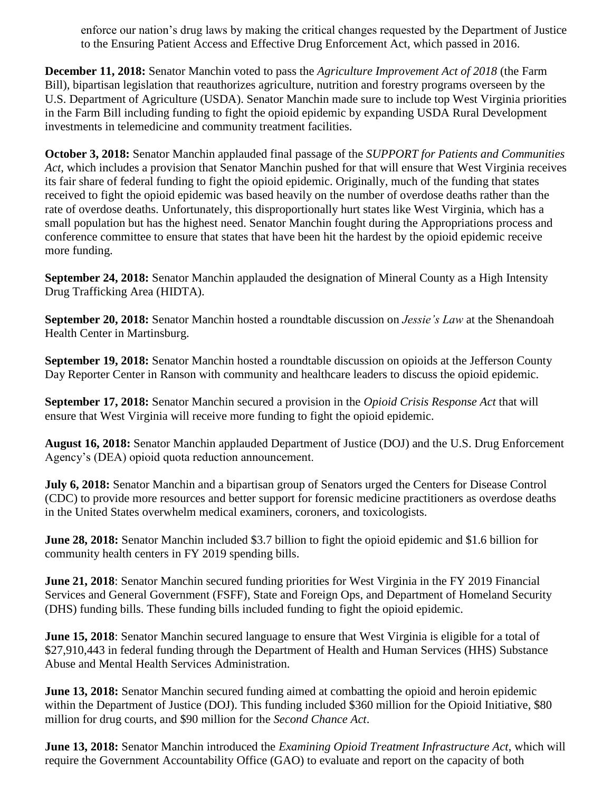enforce our nation's drug laws by making the critical changes requested by the Department of Justice to the Ensuring Patient Access and Effective Drug Enforcement Act, which passed in 2016.

**December 11, 2018:** Senator Manchin voted to pass the *Agriculture Improvement Act of 2018* (the Farm Bill), bipartisan legislation that reauthorizes agriculture, nutrition and forestry programs overseen by the U.S. Department of Agriculture (USDA). Senator Manchin made sure to include top West Virginia priorities in the Farm Bill including funding to fight the opioid epidemic by expanding USDA Rural Development investments in telemedicine and community treatment facilities.

**October 3, 2018:** Senator Manchin applauded final passage of the *SUPPORT for Patients and Communities Act*, which includes a provision that Senator Manchin pushed for that will ensure that West Virginia receives its fair share of federal funding to fight the opioid epidemic. Originally, much of the funding that states received to fight the opioid epidemic was based heavily on the number of overdose deaths rather than the rate of overdose deaths. Unfortunately, this disproportionally hurt states like West Virginia, which has a small population but has the highest need. Senator Manchin fought during the Appropriations process and conference committee to ensure that states that have been hit the hardest by the opioid epidemic receive more funding.

**September 24, 2018:** Senator Manchin applauded the designation of Mineral County as a High Intensity Drug Trafficking Area (HIDTA).

**September 20, 2018:** Senator Manchin hosted a roundtable discussion on *Jessie's Law* at the Shenandoah Health Center in Martinsburg.

**September 19, 2018:** Senator Manchin hosted a roundtable discussion on opioids at the Jefferson County Day Reporter Center in Ranson with community and healthcare leaders to discuss the opioid epidemic.

**September 17, 2018:** Senator Manchin secured a provision in the *Opioid Crisis Response Act* that will ensure that West Virginia will receive more funding to fight the opioid epidemic.

**August 16, 2018:** Senator Manchin applauded Department of Justice (DOJ) and the U.S. Drug Enforcement Agency's (DEA) opioid quota reduction announcement.

**July 6, 2018:** Senator Manchin and a bipartisan group of Senators urged the Centers for Disease Control (CDC) to provide more resources and better support for forensic medicine practitioners as overdose deaths in the United States overwhelm medical examiners, coroners, and toxicologists.

**June 28, 2018:** Senator Manchin included \$3.7 billion to fight the opioid epidemic and \$1.6 billion for community health centers in FY 2019 spending bills.

**June 21, 2018**: Senator Manchin secured funding priorities for West Virginia in the FY 2019 Financial Services and General Government (FSFF), State and Foreign Ops, and Department of Homeland Security (DHS) funding bills. These funding bills included funding to fight the opioid epidemic.

**June 15, 2018**: Senator Manchin secured language to ensure that West Virginia is eligible for a total of \$27,910,443 in federal funding through the Department of Health and Human Services (HHS) Substance Abuse and Mental Health Services Administration.

**June 13, 2018:** Senator Manchin secured funding aimed at combatting the opioid and heroin epidemic within the Department of Justice (DOJ). This funding included \$360 million for the Opioid Initiative, \$80 million for drug courts, and \$90 million for the *Second Chance Act*.

**June 13, 2018:** Senator Manchin introduced the *Examining Opioid Treatment Infrastructure Act*, which will require the Government Accountability Office (GAO) to evaluate and report on the capacity of both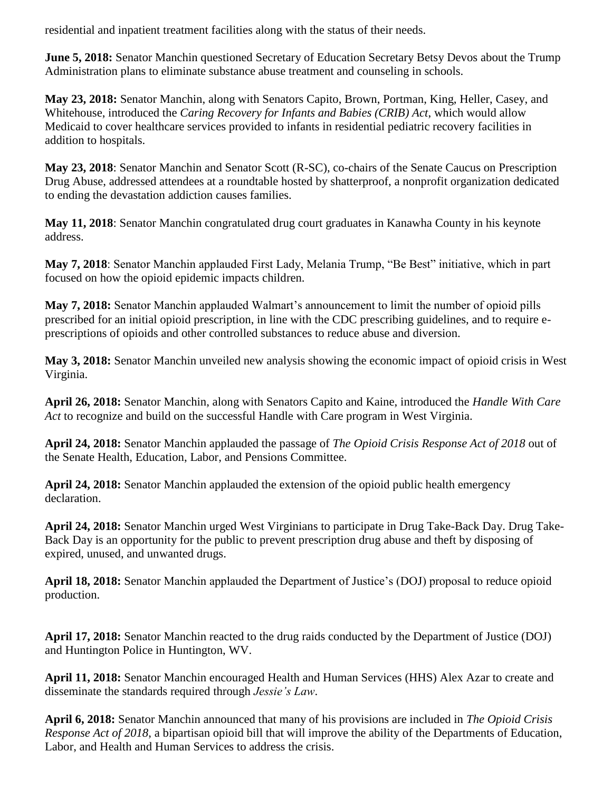residential and inpatient treatment facilities along with the status of their needs.

**June 5, 2018:** Senator Manchin questioned Secretary of Education Secretary Betsy Devos about the Trump Administration plans to eliminate substance abuse treatment and counseling in schools.

**May 23, 2018:** Senator Manchin, along with Senators Capito, Brown, Portman, King, Heller, Casey, and Whitehouse, introduced the *Caring Recovery for Infants and Babies (CRIB) Act*, which would allow Medicaid to cover healthcare services provided to infants in residential pediatric recovery facilities in addition to hospitals.

**May 23, 2018**: Senator Manchin and Senator Scott (R-SC), co-chairs of the Senate Caucus on Prescription Drug Abuse, addressed attendees at a roundtable hosted by shatterproof, a nonprofit organization dedicated to ending the devastation addiction causes families.

**May 11, 2018**: Senator Manchin congratulated drug court graduates in Kanawha County in his keynote address.

**May 7, 2018**: Senator Manchin applauded First Lady, Melania Trump, "Be Best" initiative, which in part focused on how the opioid epidemic impacts children.

**May 7, 2018:** Senator Manchin applauded Walmart's announcement to limit the number of opioid pills prescribed for an initial opioid prescription, in line with the CDC prescribing guidelines, and to require eprescriptions of opioids and other controlled substances to reduce abuse and diversion.

**May 3, 2018:** Senator Manchin unveiled new analysis showing the economic impact of opioid crisis in West Virginia.

**April 26, 2018:** Senator Manchin, along with Senators Capito and Kaine, introduced the *Handle With Care Act* to recognize and build on the successful Handle with Care program in West Virginia.

**April 24, 2018:** Senator Manchin applauded the passage of *The Opioid Crisis Response Act of 2018* out of the Senate Health, Education, Labor, and Pensions Committee.

**April 24, 2018:** Senator Manchin applauded the extension of the opioid public health emergency declaration.

**April 24, 2018:** Senator Manchin urged West Virginians to participate in Drug Take-Back Day. Drug Take-Back Day is an opportunity for the public to prevent prescription drug abuse and theft by disposing of expired, unused, and unwanted drugs.

**April 18, 2018:** Senator Manchin applauded the Department of Justice's (DOJ) proposal to reduce opioid production.

**April 17, 2018:** Senator Manchin reacted to the drug raids conducted by the Department of Justice (DOJ) and Huntington Police in Huntington, WV.

**April 11, 2018:** Senator Manchin encouraged Health and Human Services (HHS) Alex Azar to create and disseminate the standards required through *Jessie's Law*.

**April 6, 2018:** Senator Manchin announced that many of his provisions are included in *The Opioid Crisis Response Act of 2018*, a bipartisan opioid bill that will improve the ability of the Departments of Education, Labor, and Health and Human Services to address the crisis.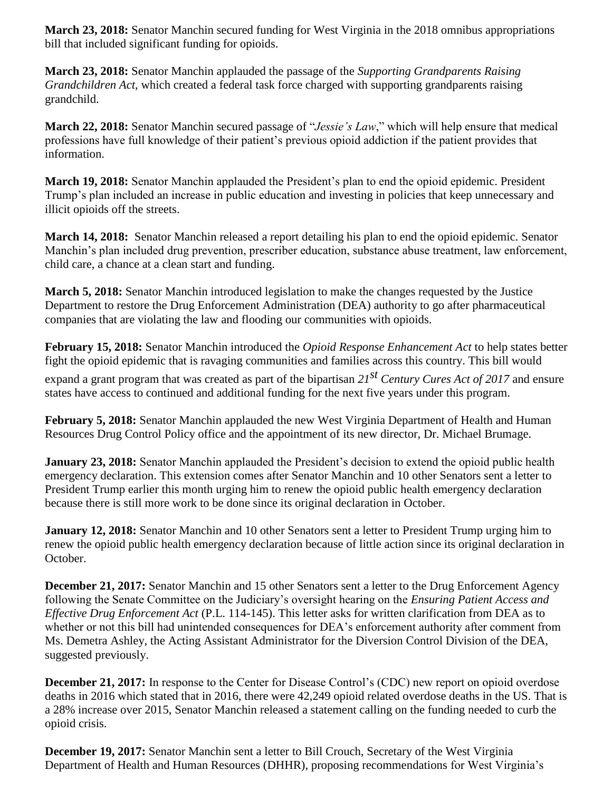**March 23, 2018:** Senator Manchin secured funding for West Virginia in the 2018 omnibus appropriations bill that included significant funding for opioids.

**March 23, 2018:** Senator Manchin applauded the passage of the *Supporting Grandparents Raising Grandchildren Act*, which created a federal task force charged with supporting grandparents raising grandchild.

**March 22, 2018:** Senator Manchin secured passage of "*Jessie's Law*," which will help ensure that medical professions have full knowledge of their patient's previous opioid addiction if the patient provides that information.

**March 19, 2018:** Senator Manchin applauded the President's plan to end the opioid epidemic. President Trump's plan included an increase in public education and investing in policies that keep unnecessary and illicit opioids off the streets.

**March 14, 2018:** Senator Manchin released a report detailing his plan to end the opioid epidemic. Senator Manchin's plan included drug prevention, prescriber education, substance abuse treatment, law enforcement, child care, a chance at a clean start and funding.

**March 5, 2018:** Senator Manchin introduced legislation to make the changes requested by the Justice Department to restore the Drug Enforcement Administration (DEA) authority to go after pharmaceutical companies that are violating the law and flooding our communities with opioids.

**February 15, 2018:** Senator Manchin introduced the *Opioid Response Enhancement Act* to help states better fight the opioid epidemic that is ravaging communities and families across this country. This bill would

expand a grant program that was created as part of the bipartisan *21st Century Cures Act of 2017* and ensure states have access to continued and additional funding for the next five years under this program.

**February 5, 2018:** Senator Manchin applauded the new West Virginia Department of Health and Human Resources Drug Control Policy office and the appointment of its new director, Dr. Michael Brumage.

**January 23, 2018:** Senator Manchin applauded the President's decision to extend the opioid public health emergency declaration. This extension comes after Senator Manchin and 10 other Senators sent a letter to President Trump earlier this month urging him to renew the opioid public health emergency declaration because there is still more work to be done since its original declaration in October.

**January 12, 2018:** Senator Manchin and 10 other Senators sent a letter to President Trump urging him to renew the opioid public health emergency declaration because of little action since its original declaration in October.

**December 21, 2017:** Senator Manchin and 15 other Senators sent a letter to the Drug Enforcement Agency following the Senate Committee on the Judiciary's oversight hearing on the *Ensuring Patient Access and Effective Drug Enforcement Act* (P.L. 114-145). This letter asks for written clarification from DEA as to whether or not this bill had unintended consequences for DEA's enforcement authority after comment from Ms. Demetra Ashley, the Acting Assistant Administrator for the Diversion Control Division of the DEA, suggested previously.

**December 21, 2017:** In response to the Center for Disease Control's (CDC) new report on opioid overdose deaths in 2016 which stated that in 2016, there were 42,249 opioid related overdose deaths in the US. That is a 28% increase over 2015, Senator Manchin released a statement calling on the funding needed to curb the opioid crisis.

**December 19, 2017:** Senator Manchin sent a letter to Bill Crouch, Secretary of the West Virginia Department of Health and Human Resources (DHHR), proposing recommendations for West Virginia's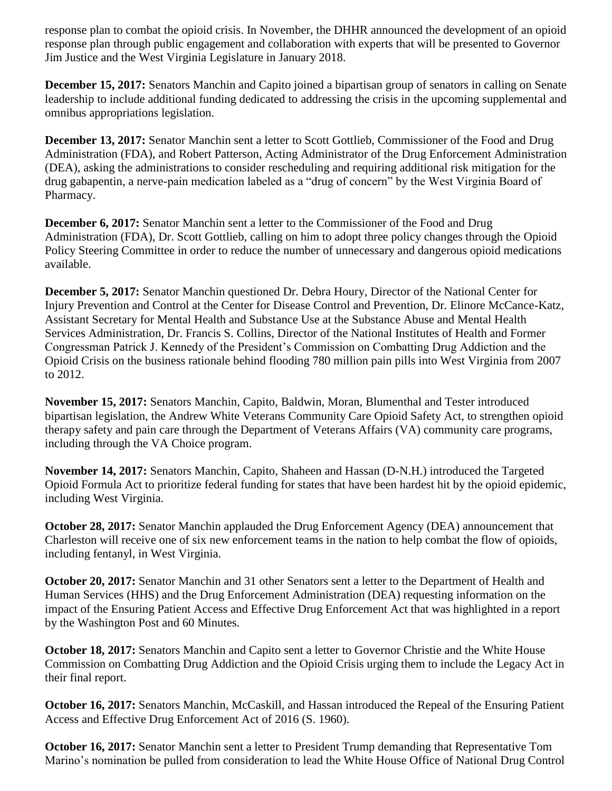response plan to combat the opioid crisis. In November, the DHHR announced the development of an opioid response plan through public engagement and collaboration with experts that will be presented to Governor Jim Justice and the West Virginia Legislature in January 2018.

**December 15, 2017:** Senators Manchin and Capito joined a bipartisan group of senators in calling on Senate leadership to include additional funding dedicated to addressing the crisis in the upcoming supplemental and omnibus appropriations legislation.

**December 13, 2017:** Senator Manchin sent a letter to Scott Gottlieb, Commissioner of the Food and Drug Administration (FDA), and Robert Patterson, Acting Administrator of the Drug Enforcement Administration (DEA), asking the administrations to consider rescheduling and requiring additional risk mitigation for the drug gabapentin, a nerve-pain medication labeled as a "drug of concern" by the West Virginia Board of Pharmacy.

**December 6, 2017:** Senator Manchin sent a letter to the Commissioner of the Food and Drug Administration (FDA), Dr. Scott Gottlieb, calling on him to adopt three policy changes through the Opioid Policy Steering Committee in order to reduce the number of unnecessary and dangerous opioid medications available.

**December 5, 2017:** Senator Manchin questioned Dr. Debra Houry, Director of the National Center for Injury Prevention and Control at the Center for Disease Control and Prevention, Dr. Elinore McCance-Katz, Assistant Secretary for Mental Health and Substance Use at the Substance Abuse and Mental Health Services Administration, Dr. Francis S. Collins, Director of the National Institutes of Health and Former Congressman Patrick J. Kennedy of the President's Commission on Combatting Drug Addiction and the Opioid Crisis on the business rationale behind flooding 780 million pain pills into West Virginia from 2007 to 2012.

**November 15, 2017:** Senators Manchin, Capito, Baldwin, Moran, Blumenthal and Tester introduced bipartisan legislation, the Andrew White Veterans Community Care Opioid Safety Act, to strengthen opioid therapy safety and pain care through the Department of Veterans Affairs (VA) community care programs, including through the VA Choice program.

**November 14, 2017:** Senators Manchin, Capito, Shaheen and Hassan (D-N.H.) introduced the Targeted Opioid Formula Act to prioritize federal funding for states that have been hardest hit by the opioid epidemic, including West Virginia.

**October 28, 2017:** Senator Manchin applauded the Drug Enforcement Agency (DEA) announcement that Charleston will receive one of six new enforcement teams in the nation to help combat the flow of opioids, including fentanyl, in West Virginia.

**October 20, 2017:** Senator Manchin and 31 other Senators sent a letter to the Department of Health and Human Services (HHS) and the Drug Enforcement Administration (DEA) requesting information on the impact of the Ensuring Patient Access and Effective Drug Enforcement Act that was highlighted in a report by the Washington Post and 60 Minutes.

**October 18, 2017:** Senators Manchin and Capito sent a letter to Governor Christie and the White House Commission on Combatting Drug Addiction and the Opioid Crisis urging them to include the Legacy Act in their final report.

**October 16, 2017:** Senators Manchin, McCaskill, and Hassan introduced the Repeal of the Ensuring Patient Access and Effective Drug Enforcement Act of 2016 (S. 1960).

**October 16, 2017:** Senator Manchin sent a letter to President Trump demanding that Representative Tom Marino's nomination be pulled from consideration to lead the White House Office of National Drug Control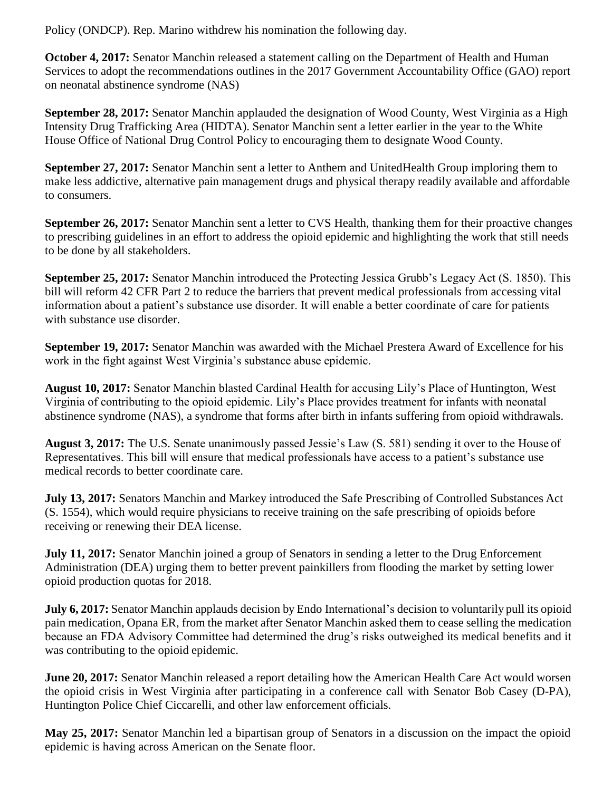Policy (ONDCP). Rep. Marino withdrew his nomination the following day.

**October 4, 2017:** Senator Manchin released a statement calling on the Department of Health and Human Services to adopt the recommendations outlines in the 2017 Government Accountability Office (GAO) report on neonatal abstinence syndrome (NAS)

**September 28, 2017:** Senator Manchin applauded the designation of Wood County, West Virginia as a High Intensity Drug Trafficking Area (HIDTA). Senator Manchin sent a letter earlier in the year to the White House Office of National Drug Control Policy to encouraging them to designate Wood County.

**September 27, 2017:** Senator Manchin sent a letter to Anthem and UnitedHealth Group imploring them to make less addictive, alternative pain management drugs and physical therapy readily available and affordable to consumers.

**September 26, 2017:** Senator Manchin sent a letter to CVS Health, thanking them for their proactive changes to prescribing guidelines in an effort to address the opioid epidemic and highlighting the work that still needs to be done by all stakeholders.

**September 25, 2017:** Senator Manchin introduced the Protecting Jessica Grubb's Legacy Act (S. 1850). This bill will reform 42 CFR Part 2 to reduce the barriers that prevent medical professionals from accessing vital information about a patient's substance use disorder. It will enable a better coordinate of care for patients with substance use disorder.

**September 19, 2017:** Senator Manchin was awarded with the Michael Prestera Award of Excellence for his work in the fight against West Virginia's substance abuse epidemic.

**August 10, 2017:** Senator Manchin blasted Cardinal Health for accusing Lily's Place of Huntington, West Virginia of contributing to the opioid epidemic. Lily's Place provides treatment for infants with neonatal abstinence syndrome (NAS), a syndrome that forms after birth in infants suffering from opioid withdrawals.

**August 3, 2017:** The U.S. Senate unanimously passed Jessie's Law (S. 581) sending it over to the House of Representatives. This bill will ensure that medical professionals have access to a patient's substance use medical records to better coordinate care.

**July 13, 2017:** Senators Manchin and Markey introduced the Safe Prescribing of Controlled Substances Act (S. 1554), which would require physicians to receive training on the safe prescribing of opioids before receiving or renewing their DEA license.

**July 11, 2017:** Senator Manchin joined a group of Senators in sending a letter to the Drug Enforcement Administration (DEA) urging them to better prevent painkillers from flooding the market by setting lower opioid production quotas for 2018.

**July 6, 2017:** Senator Manchin applauds decision by Endo International's decision to voluntarily pull its opioid pain medication, Opana ER, from the market after Senator Manchin asked them to cease selling the medication because an FDA Advisory Committee had determined the drug's risks outweighed its medical benefits and it was contributing to the opioid epidemic.

**June 20, 2017:** Senator Manchin released a report detailing how the American Health Care Act would worsen the opioid crisis in West Virginia after participating in a conference call with Senator Bob Casey (D-PA), Huntington Police Chief Ciccarelli, and other law enforcement officials.

**May 25, 2017:** Senator Manchin led a bipartisan group of Senators in a discussion on the impact the opioid epidemic is having across American on the Senate floor.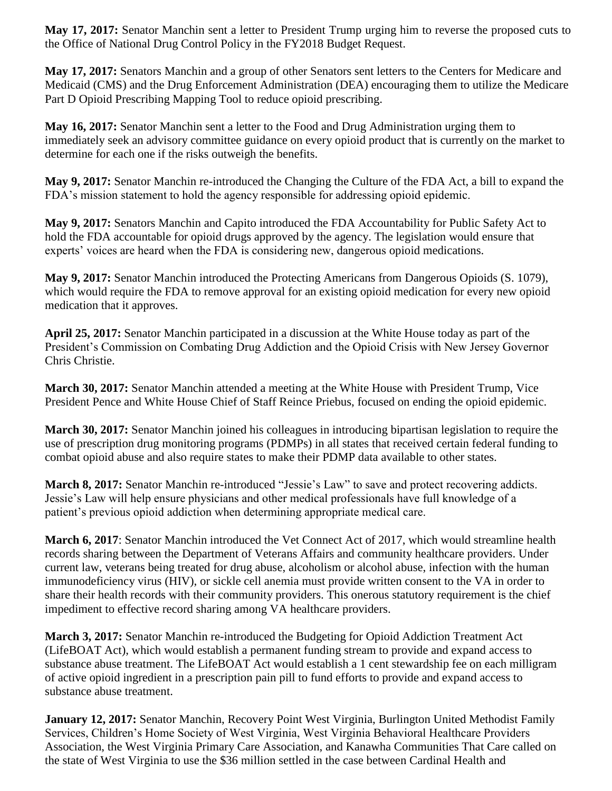**May 17, 2017:** Senator Manchin sent a letter to President Trump urging him to reverse the proposed cuts to the Office of National Drug Control Policy in the FY2018 Budget Request.

**May 17, 2017:** Senators Manchin and a group of other Senators sent letters to the Centers for Medicare and Medicaid (CMS) and the Drug Enforcement Administration (DEA) encouraging them to utilize the Medicare Part D Opioid Prescribing Mapping Tool to reduce opioid prescribing.

**May 16, 2017:** Senator Manchin sent a letter to the Food and Drug Administration urging them to immediately seek an advisory committee guidance on every opioid product that is currently on the market to determine for each one if the risks outweigh the benefits.

**May 9, 2017:** Senator Manchin re-introduced the Changing the Culture of the FDA Act, a bill to expand the FDA's mission statement to hold the agency responsible for addressing opioid epidemic.

**May 9, 2017:** Senators Manchin and Capito introduced the FDA Accountability for Public Safety Act to hold the FDA accountable for opioid drugs approved by the agency. The legislation would ensure that experts' voices are heard when the FDA is considering new, dangerous opioid medications.

**May 9, 2017:** Senator Manchin introduced the Protecting Americans from Dangerous Opioids (S. 1079), which would require the FDA to remove approval for an existing opioid medication for every new opioid medication that it approves.

**April 25, 2017:** Senator Manchin participated in a discussion at the White House today as part of the President's Commission on Combating Drug Addiction and the Opioid Crisis with New Jersey Governor Chris Christie.

**March 30, 2017:** Senator Manchin attended a meeting at the White House with President Trump, Vice President Pence and White House Chief of Staff Reince Priebus, focused on ending the opioid epidemic.

**March 30, 2017:** Senator Manchin joined his colleagues in introducing bipartisan legislation to require the use of prescription drug monitoring programs (PDMPs) in all states that received certain federal funding to combat opioid abuse and also require states to make their PDMP data available to other states.

**March 8, 2017:** Senator Manchin re-introduced "Jessie's Law" to save and protect recovering addicts. Jessie's Law will help ensure physicians and other medical professionals have full knowledge of a patient's previous opioid addiction when determining appropriate medical care.

**March 6, 2017**: Senator Manchin introduced the Vet Connect Act of 2017, which would streamline health records sharing between the Department of Veterans Affairs and community healthcare providers. Under current law, veterans being treated for drug abuse, alcoholism or alcohol abuse, infection with the human immunodeficiency virus (HIV), or sickle cell anemia must provide written consent to the VA in order to share their health records with their community providers. This onerous statutory requirement is the chief impediment to effective record sharing among VA healthcare providers.

**March 3, 2017:** Senator Manchin re-introduced the Budgeting for Opioid Addiction Treatment Act (LifeBOAT Act), which would establish a permanent funding stream to provide and expand access to substance abuse treatment. The LifeBOAT Act would establish a 1 cent stewardship fee on each milligram of active opioid ingredient in a prescription pain pill to fund efforts to provide and expand access to substance abuse treatment.

**January 12, 2017:** Senator Manchin, Recovery Point West Virginia, Burlington United Methodist Family Services, Children's Home Society of West Virginia, West Virginia Behavioral Healthcare Providers Association, the West Virginia Primary Care Association, and Kanawha Communities That Care called on the state of West Virginia to use the \$36 million settled in the case between Cardinal Health and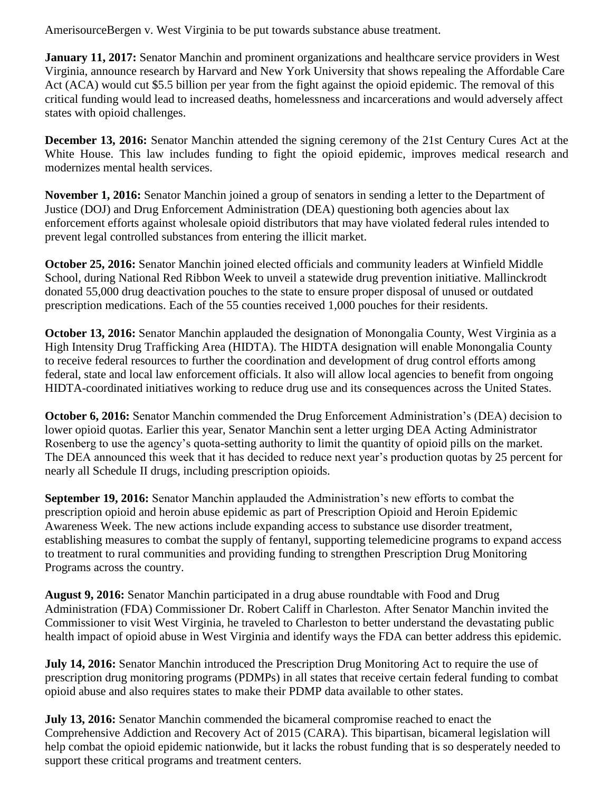AmerisourceBergen v. West Virginia to be put towards substance abuse treatment.

**January 11, 2017:** Senator Manchin and prominent organizations and healthcare service providers in West Virginia, announce research by Harvard and New York University that shows repealing the Affordable Care Act (ACA) would cut \$5.5 billion per year from the fight against the opioid epidemic. The removal of this critical funding would lead to increased deaths, homelessness and incarcerations and would adversely affect states with opioid challenges.

**December 13, 2016:** Senator Manchin attended the signing ceremony of the 21st Century Cures Act at the White House. This law includes funding to fight the opioid epidemic, improves medical research and modernizes mental health services.

**November 1, 2016:** Senator Manchin joined a group of senators in sending a letter to the Department of Justice (DOJ) and Drug Enforcement Administration (DEA) questioning both agencies about lax enforcement efforts against wholesale opioid distributors that may have violated federal rules intended to prevent legal controlled substances from entering the illicit market.

**October 25, 2016:** Senator Manchin joined elected officials and community leaders at Winfield Middle School, during National Red Ribbon Week to unveil a statewide drug prevention initiative. Mallinckrodt donated 55,000 drug deactivation pouches to the state to ensure proper disposal of unused or outdated prescription medications. Each of the 55 counties received 1,000 pouches for their residents.

**October 13, 2016:** Senator Manchin applauded the designation of Monongalia County, West Virginia as a High Intensity Drug Trafficking Area (HIDTA). The HIDTA designation will enable Monongalia County to receive federal resources to further the coordination and development of drug control efforts among federal, state and local law enforcement officials. It also will allow local agencies to benefit from ongoing HIDTA-coordinated initiatives working to reduce drug use and its consequences across the United States.

**October 6, 2016:** Senator Manchin commended the Drug Enforcement Administration's (DEA) decision to lower opioid quotas. Earlier this year, Senator Manchin sent a letter urging DEA Acting Administrator Rosenberg to use the agency's quota-setting authority to limit the quantity of opioid pills on the market. The DEA announced this week that it has decided to reduce next year's production quotas by 25 percent for nearly all Schedule II drugs, including prescription opioids.

**September 19, 2016:** Senator Manchin applauded the Administration's new efforts to combat the prescription opioid and heroin abuse epidemic as part of Prescription Opioid and Heroin Epidemic Awareness Week. The new actions include expanding access to substance use disorder treatment, establishing measures to combat the supply of fentanyl, supporting telemedicine programs to expand access to treatment to rural communities and providing funding to strengthen Prescription Drug Monitoring Programs across the country.

**August 9, 2016:** Senator Manchin participated in a drug abuse roundtable with Food and Drug Administration (FDA) Commissioner Dr. Robert Califf in Charleston. After Senator Manchin invited the Commissioner to visit West Virginia, he traveled to Charleston to better understand the devastating public health impact of opioid abuse in West Virginia and identify ways the FDA can better address this epidemic.

**July 14, 2016:** Senator Manchin introduced the Prescription Drug Monitoring Act to require the use of prescription drug monitoring programs (PDMPs) in all states that receive certain federal funding to combat opioid abuse and also requires states to make their PDMP data available to other states.

**July 13, 2016:** Senator Manchin commended the bicameral compromise reached to enact the Comprehensive Addiction and Recovery Act of 2015 (CARA). This bipartisan, bicameral legislation will help combat the opioid epidemic nationwide, but it lacks the robust funding that is so desperately needed to support these critical programs and treatment centers.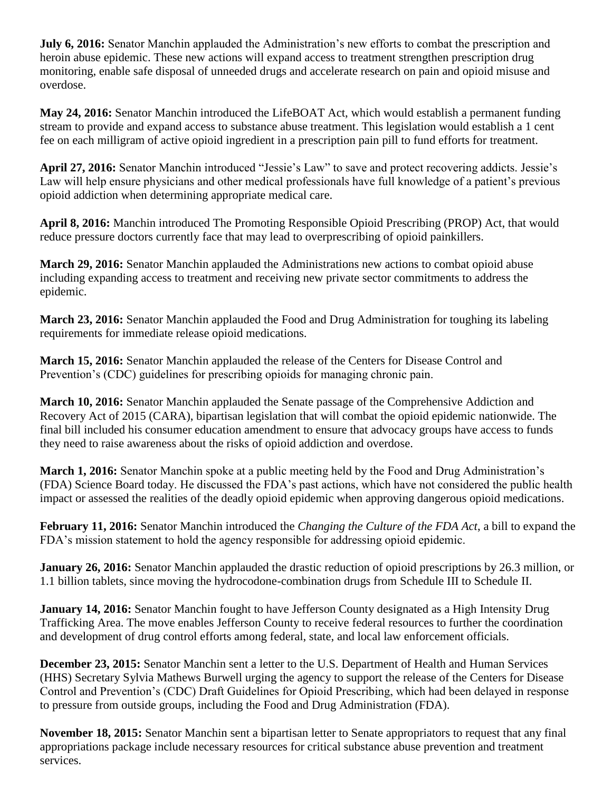**July 6, 2016:** Senator Manchin applauded the Administration's new efforts to combat the prescription and heroin abuse epidemic. These new actions will expand access to treatment strengthen prescription drug monitoring, enable safe disposal of unneeded drugs and accelerate research on pain and opioid misuse and overdose.

**May 24, 2016:** Senator Manchin introduced the LifeBOAT Act, which would establish a permanent funding stream to provide and expand access to substance abuse treatment. This legislation would establish a 1 cent fee on each milligram of active opioid ingredient in a prescription pain pill to fund efforts for treatment.

**April 27, 2016:** Senator Manchin introduced "Jessie's Law" to save and protect recovering addicts. Jessie's Law will help ensure physicians and other medical professionals have full knowledge of a patient's previous opioid addiction when determining appropriate medical care.

**April 8, 2016:** Manchin introduced The Promoting Responsible Opioid Prescribing (PROP) Act, that would reduce pressure doctors currently face that may lead to overprescribing of opioid painkillers.

**March 29, 2016:** Senator Manchin applauded the Administrations new actions to combat opioid abuse including expanding access to treatment and receiving new private sector commitments to address the epidemic.

**March 23, 2016:** Senator Manchin applauded the Food and Drug Administration for toughing its labeling requirements for immediate release opioid medications.

**March 15, 2016:** Senator Manchin applauded the release of the Centers for Disease Control and Prevention's (CDC) guidelines for prescribing opioids for managing chronic pain.

**March 10, 2016:** Senator Manchin applauded the Senate passage of the Comprehensive Addiction and Recovery Act of 2015 (CARA), bipartisan legislation that will combat the opioid epidemic nationwide. The final bill included his consumer education amendment to ensure that advocacy groups have access to funds they need to raise awareness about the risks of opioid addiction and overdose.

**March 1, 2016:** Senator Manchin spoke at a public meeting held by the Food and Drug Administration's (FDA) Science Board today. He discussed the FDA's past actions, which have not considered the public health impact or assessed the realities of the deadly opioid epidemic when approving dangerous opioid medications.

**February 11, 2016:** Senator Manchin introduced the *Changing the Culture of the FDA Act*, a bill to expand the FDA's mission statement to hold the agency responsible for addressing opioid epidemic.

**January 26, 2016:** Senator Manchin applauded the drastic reduction of opioid prescriptions by 26.3 million, or 1.1 billion tablets, since moving the hydrocodone-combination drugs from Schedule III to Schedule II.

**January 14, 2016:** Senator Manchin fought to have Jefferson County designated as a High Intensity Drug Trafficking Area. The move enables Jefferson County to receive federal resources to further the coordination and development of drug control efforts among federal, state, and local law enforcement officials.

**December 23, 2015:** Senator Manchin sent a letter to the U.S. Department of Health and Human Services (HHS) Secretary Sylvia Mathews Burwell urging the agency to support the release of the Centers for Disease Control and Prevention's (CDC) Draft Guidelines for Opioid Prescribing, which had been delayed in response to pressure from outside groups, including the Food and Drug Administration (FDA).

**November 18, 2015:** Senator Manchin sent a bipartisan letter to Senate appropriators to request that any final appropriations package include necessary resources for critical substance abuse prevention and treatment services.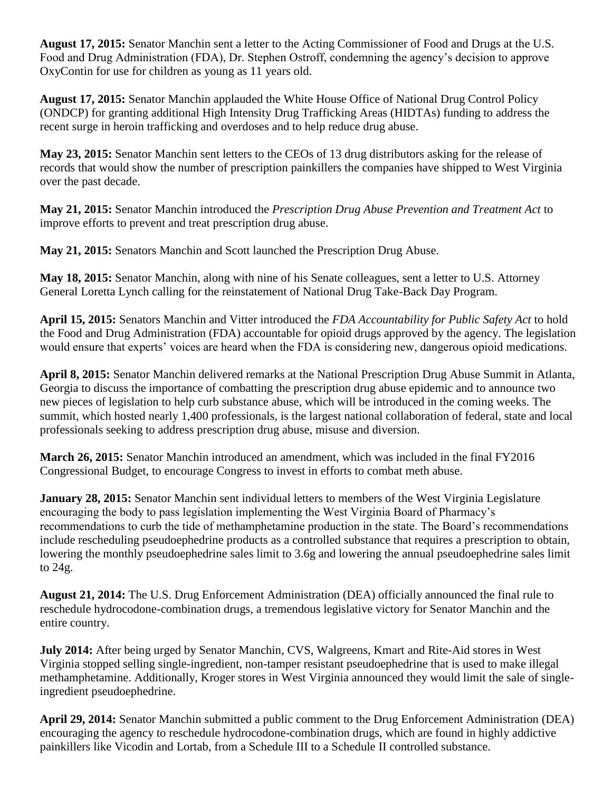**August 17, 2015:** Senator Manchin sent a letter to the Acting Commissioner of Food and Drugs at the U.S. Food and Drug Administration (FDA), Dr. Stephen Ostroff, condemning the agency's decision to approve OxyContin for use for children as young as 11 years old.

**August 17, 2015:** Senator Manchin applauded the White House Office of National Drug Control Policy (ONDCP) for granting additional High Intensity Drug Trafficking Areas (HIDTAs) funding to address the recent surge in heroin trafficking and overdoses and to help reduce drug abuse.

**May 23, 2015:** Senator Manchin sent letters to the CEOs of 13 drug distributors asking for the release of records that would show the number of prescription painkillers the companies have shipped to West Virginia over the past decade.

**May 21, 2015:** Senator Manchin introduced the *Prescription Drug Abuse Prevention and Treatment Act* to improve efforts to prevent and treat prescription drug abuse.

**May 21, 2015:** Senators Manchin and Scott launched the Prescription Drug Abuse.

**May 18, 2015:** Senator Manchin, along with nine of his Senate colleagues, sent a letter to U.S. Attorney General Loretta Lynch calling for the reinstatement of National Drug Take-Back Day Program.

**April 15, 2015:** Senators Manchin and Vitter introduced the *FDA Accountability for Public Safety Act* to hold the Food and Drug Administration (FDA) accountable for opioid drugs approved by the agency. The legislation would ensure that experts' voices are heard when the FDA is considering new, dangerous opioid medications.

**April 8, 2015:** Senator Manchin delivered remarks at the National Prescription Drug Abuse Summit in Atlanta, Georgia to discuss the importance of combatting the prescription drug abuse epidemic and to announce two new pieces of legislation to help curb substance abuse, which will be introduced in the coming weeks. The summit, which hosted nearly 1,400 professionals, is the largest national collaboration of federal, state and local professionals seeking to address prescription drug abuse, misuse and diversion.

**March 26, 2015:** Senator Manchin introduced an amendment, which was included in the final FY2016 Congressional Budget, to encourage Congress to invest in efforts to combat meth abuse.

**January 28, 2015:** Senator Manchin sent individual letters to members of the West Virginia Legislature encouraging the body to pass legislation implementing the West Virginia Board of Pharmacy's recommendations to curb the tide of methamphetamine production in the state. The Board's recommendations include rescheduling pseudoephedrine products as a controlled substance that requires a prescription to obtain, lowering the monthly pseudoephedrine sales limit to 3.6g and lowering the annual pseudoephedrine sales limit to 24g.

**August 21, 2014:** The U.S. Drug Enforcement Administration (DEA) officially announced the final rule to reschedule hydrocodone-combination drugs, a tremendous legislative victory for Senator Manchin and the entire country.

**July 2014:** After being urged by Senator Manchin, CVS, Walgreens, Kmart and Rite-Aid stores in West Virginia stopped selling single-ingredient, non-tamper resistant pseudoephedrine that is used to make illegal methamphetamine. Additionally, Kroger stores in West Virginia announced they would limit the sale of singleingredient pseudoephedrine.

**April 29, 2014:** Senator Manchin submitted a public comment to the Drug Enforcement Administration (DEA) encouraging the agency to reschedule hydrocodone-combination drugs, which are found in highly addictive painkillers like Vicodin and Lortab, from a Schedule III to a Schedule II controlled substance.